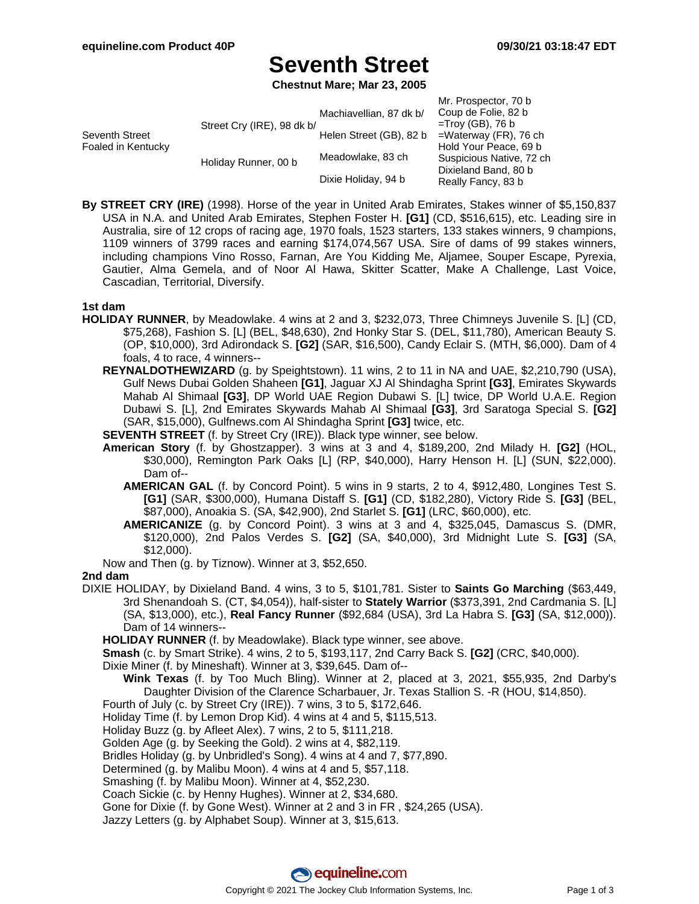## **Seventh Street**

**Chestnut Mare; Mar 23, 2005**

| $=$ Waterway (FR), 76 ch |
|--------------------------|
| Hold Your Peace, 69 b    |
| Suspicious Native, 72 ch |
|                          |
| Really Fancy, 83 b       |
|                          |

**By STREET CRY (IRE)** (1998). Horse of the year in United Arab Emirates, Stakes winner of \$5,150,837 USA in N.A. and United Arab Emirates, Stephen Foster H. **[G1]** (CD, \$516,615), etc. Leading sire in Australia, sire of 12 crops of racing age, 1970 foals, 1523 starters, 133 stakes winners, 9 champions, 1109 winners of 3799 races and earning \$174,074,567 USA. Sire of dams of 99 stakes winners, including champions Vino Rosso, Farnan, Are You Kidding Me, Aljamee, Souper Escape, Pyrexia, Gautier, Alma Gemela, and of Noor Al Hawa, Skitter Scatter, Make A Challenge, Last Voice, Cascadian, Territorial, Diversify.

### **1st dam**

- **HOLIDAY RUNNER**, by Meadowlake. 4 wins at 2 and 3, \$232,073, Three Chimneys Juvenile S. [L] (CD, \$75,268), Fashion S. [L] (BEL, \$48,630), 2nd Honky Star S. (DEL, \$11,780), American Beauty S. (OP, \$10,000), 3rd Adirondack S. **[G2]** (SAR, \$16,500), Candy Eclair S. (MTH, \$6,000). Dam of 4 foals, 4 to race, 4 winners--
	- **REYNALDOTHEWIZARD** (g. by Speightstown). 11 wins, 2 to 11 in NA and UAE, \$2,210,790 (USA), Gulf News Dubai Golden Shaheen **[G1]**, Jaguar XJ Al Shindagha Sprint **[G3]**, Emirates Skywards Mahab Al Shimaal **[G3]**, DP World UAE Region Dubawi S. [L] twice, DP World U.A.E. Region Dubawi S. [L], 2nd Emirates Skywards Mahab Al Shimaal **[G3]**, 3rd Saratoga Special S. **[G2]** (SAR, \$15,000), Gulfnews.com Al Shindagha Sprint **[G3]** twice, etc.
	- **SEVENTH STREET** (f. by Street Cry (IRE)). Black type winner, see below.
	- **American Story** (f. by Ghostzapper). 3 wins at 3 and 4, \$189,200, 2nd Milady H. **[G2]** (HOL, \$30,000), Remington Park Oaks [L] (RP, \$40,000), Harry Henson H. [L] (SUN, \$22,000). Dam of--
		- **AMERICAN GAL** (f. by Concord Point). 5 wins in 9 starts, 2 to 4, \$912,480, Longines Test S. **[G1]** (SAR, \$300,000), Humana Distaff S. **[G1]** (CD, \$182,280), Victory Ride S. **[G3]** (BEL, \$87,000), Anoakia S. (SA, \$42,900), 2nd Starlet S. **[G1]** (LRC, \$60,000), etc.
		- **AMERICANIZE** (g. by Concord Point). 3 wins at 3 and 4, \$325,045, Damascus S. (DMR, \$120,000), 2nd Palos Verdes S. **[G2]** (SA, \$40,000), 3rd Midnight Lute S. **[G3]** (SA, \$12,000).
	- Now and Then (g. by Tiznow). Winner at 3, \$52,650.

### **2nd dam**

DIXIE HOLIDAY, by Dixieland Band. 4 wins, 3 to 5, \$101,781. Sister to **Saints Go Marching** (\$63,449, 3rd Shenandoah S. (CT, \$4,054)), half-sister to **Stately Warrior** (\$373,391, 2nd Cardmania S. [L] (SA, \$13,000), etc.), **Real Fancy Runner** (\$92,684 (USA), 3rd La Habra S. **[G3]** (SA, \$12,000)). Dam of 14 winners--

**HOLIDAY RUNNER** (f. by Meadowlake). Black type winner, see above.

**Smash** (c. by Smart Strike). 4 wins, 2 to 5, \$193,117, 2nd Carry Back S. **[G2]** (CRC, \$40,000).

Dixie Miner (f. by Mineshaft). Winner at 3, \$39,645. Dam of--

**Wink Texas** (f. by Too Much Bling). Winner at 2, placed at 3, 2021, \$55,935, 2nd Darby's Daughter Division of the Clarence Scharbauer, Jr. Texas Stallion S. -R (HOU, \$14,850).

- Fourth of July (c. by Street Cry (IRE)). 7 wins, 3 to 5, \$172,646.
- Holiday Time (f. by Lemon Drop Kid). 4 wins at 4 and 5, \$115,513.
- Holiday Buzz (g. by Afleet Alex). 7 wins, 2 to 5, \$111,218.

Golden Age (g. by Seeking the Gold). 2 wins at 4, \$82,119.

Bridles Holiday (g. by Unbridled's Song). 4 wins at 4 and 7, \$77,890.

Determined (g. by Malibu Moon). 4 wins at 4 and 5, \$57,118.

Smashing (f. by Malibu Moon). Winner at 4, \$52,230.

Coach Sickie (c. by Henny Hughes). Winner at 2, \$34,680.

Gone for Dixie (f. by Gone West). Winner at 2 and 3 in FR , \$24,265 (USA).

Jazzy Letters (g. by Alphabet Soup). Winner at 3, \$15,613.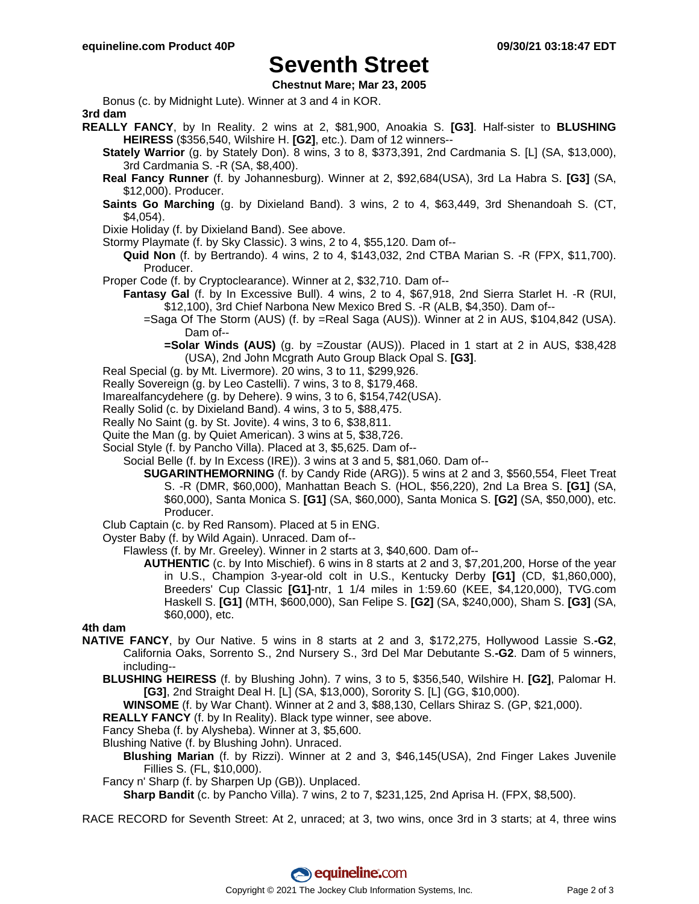## **Seventh Street**

**Chestnut Mare; Mar 23, 2005**

Bonus (c. by Midnight Lute). Winner at 3 and 4 in KOR. **3rd dam**

- **REALLY FANCY**, by In Reality. 2 wins at 2, \$81,900, Anoakia S. **[G3]**. Half-sister to **BLUSHING HEIRESS** (\$356,540, Wilshire H. **[G2]**, etc.). Dam of 12 winners--
	- **Stately Warrior** (g. by Stately Don). 8 wins, 3 to 8, \$373,391, 2nd Cardmania S. [L] (SA, \$13,000), 3rd Cardmania S. -R (SA, \$8,400).
	- **Real Fancy Runner** (f. by Johannesburg). Winner at 2, \$92,684(USA), 3rd La Habra S. **[G3]** (SA, \$12,000). Producer.
	- **Saints Go Marching** (g. by Dixieland Band). 3 wins, 2 to 4, \$63,449, 3rd Shenandoah S. (CT, \$4,054).

Dixie Holiday (f. by Dixieland Band). See above.

- Stormy Playmate (f. by Sky Classic). 3 wins, 2 to 4, \$55,120. Dam of--
	- **Quid Non** (f. by Bertrando). 4 wins, 2 to 4, \$143,032, 2nd CTBA Marian S. -R (FPX, \$11,700). Producer.
- Proper Code (f. by Cryptoclearance). Winner at 2, \$32,710. Dam of--
	- **Fantasy Gal** (f. by In Excessive Bull). 4 wins, 2 to 4, \$67,918, 2nd Sierra Starlet H. -R (RUI, \$12,100), 3rd Chief Narbona New Mexico Bred S. -R (ALB, \$4,350). Dam of--
		- =Saga Of The Storm (AUS) (f. by =Real Saga (AUS)). Winner at 2 in AUS, \$104,842 (USA). Dam of--
			- **=Solar Winds (AUS)** (g. by =Zoustar (AUS)). Placed in 1 start at 2 in AUS, \$38,428 (USA), 2nd John Mcgrath Auto Group Black Opal S. **[G3]**.
- Real Special (g. by Mt. Livermore). 20 wins, 3 to 11, \$299,926.
- Really Sovereign (g. by Leo Castelli). 7 wins, 3 to 8, \$179,468.
- Imarealfancydehere (g. by Dehere). 9 wins, 3 to 6, \$154,742(USA).
- Really Solid (c. by Dixieland Band). 4 wins, 3 to 5, \$88,475.
- Really No Saint (g. by St. Jovite). 4 wins, 3 to 6, \$38,811.
- Quite the Man (g. by Quiet American). 3 wins at 5, \$38,726.
- Social Style (f. by Pancho Villa). Placed at 3, \$5,625. Dam of--
	- Social Belle (f. by In Excess (IRE)). 3 wins at 3 and 5, \$81,060. Dam of--
		- **SUGARINTHEMORNING** (f. by Candy Ride (ARG)). 5 wins at 2 and 3, \$560,554, Fleet Treat S. -R (DMR, \$60,000), Manhattan Beach S. (HOL, \$56,220), 2nd La Brea S. **[G1]** (SA, \$60,000), Santa Monica S. **[G1]** (SA, \$60,000), Santa Monica S. **[G2]** (SA, \$50,000), etc. Producer.
- Club Captain (c. by Red Ransom). Placed at 5 in ENG.
- Oyster Baby (f. by Wild Again). Unraced. Dam of--
	- Flawless (f. by Mr. Greeley). Winner in 2 starts at 3, \$40,600. Dam of--
		- **AUTHENTIC** (c. by Into Mischief). 6 wins in 8 starts at 2 and 3, \$7,201,200, Horse of the year in U.S., Champion 3-year-old colt in U.S., Kentucky Derby **[G1]** (CD, \$1,860,000), Breeders' Cup Classic **[G1]**-ntr, 1 1/4 miles in 1:59.60 (KEE, \$4,120,000), TVG.com Haskell S. **[G1]** (MTH, \$600,000), San Felipe S. **[G2]** (SA, \$240,000), Sham S. **[G3]** (SA, \$60,000), etc.

## **4th dam**

- **NATIVE FANCY**, by Our Native. 5 wins in 8 starts at 2 and 3, \$172,275, Hollywood Lassie S.**-G2**, California Oaks, Sorrento S., 2nd Nursery S., 3rd Del Mar Debutante S.**-G2**. Dam of 5 winners, including--
	- **BLUSHING HEIRESS** (f. by Blushing John). 7 wins, 3 to 5, \$356,540, Wilshire H. **[G2]**, Palomar H. **[G3]**, 2nd Straight Deal H. [L] (SA, \$13,000), Sorority S. [L] (GG, \$10,000).
		- **WINSOME** (f. by War Chant). Winner at 2 and 3, \$88,130, Cellars Shiraz S. (GP, \$21,000).
	- **REALLY FANCY** (f. by In Reality). Black type winner, see above.

Fancy Sheba (f. by Alysheba). Winner at 3, \$5,600.

- Blushing Native (f. by Blushing John). Unraced.
	- **Blushing Marian** (f. by Rizzi). Winner at 2 and 3, \$46,145(USA), 2nd Finger Lakes Juvenile Fillies S. (FL, \$10,000).
- Fancy n' Sharp (f. by Sharpen Up (GB)). Unplaced.

**Sharp Bandit** (c. by Pancho Villa). 7 wins, 2 to 7, \$231,125, 2nd Aprisa H. (FPX, \$8,500).

RACE RECORD for Seventh Street: At 2, unraced; at 3, two wins, once 3rd in 3 starts; at 4, three wins